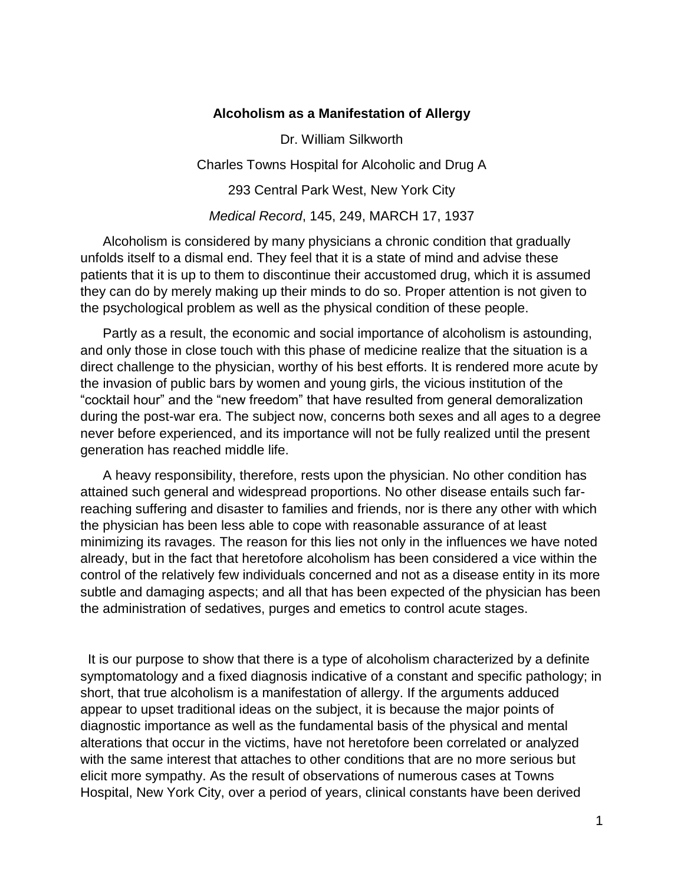## **Alcoholism as a Manifestation of Allergy**

Dr. William Silkworth Charles Towns Hospital for Alcoholic and Drug A 293 Central Park West, New York City *Medical Record*, 145, 249, MARCH 17, 1937

 Alcoholism is considered by many physicians a chronic condition that gradually unfolds itself to a dismal end. They feel that it is a state of mind and advise these patients that it is up to them to discontinue their accustomed drug, which it is assumed they can do by merely making up their minds to do so. Proper attention is not given to the psychological problem as well as the physical condition of these people.

 Partly as a result, the economic and social importance of alcoholism is astounding, and only those in close touch with this phase of medicine realize that the situation is a direct challenge to the physician, worthy of his best efforts. It is rendered more acute by the invasion of public bars by women and young girls, the vicious institution of the "cocktail hour" and the "new freedom" that have resulted from general demoralization during the post-war era. The subject now, concerns both sexes and all ages to a degree never before experienced, and its importance will not be fully realized until the present generation has reached middle life.

 A heavy responsibility, therefore, rests upon the physician. No other condition has attained such general and widespread proportions. No other disease entails such farreaching suffering and disaster to families and friends, nor is there any other with which the physician has been less able to cope with reasonable assurance of at least minimizing its ravages. The reason for this lies not only in the influences we have noted already, but in the fact that heretofore alcoholism has been considered a vice within the control of the relatively few individuals concerned and not as a disease entity in its more subtle and damaging aspects; and all that has been expected of the physician has been the administration of sedatives, purges and emetics to control acute stages.

 It is our purpose to show that there is a type of alcoholism characterized by a definite symptomatology and a fixed diagnosis indicative of a constant and specific pathology; in short, that true alcoholism is a manifestation of allergy. If the arguments adduced appear to upset traditional ideas on the subject, it is because the major points of diagnostic importance as well as the fundamental basis of the physical and mental alterations that occur in the victims, have not heretofore been correlated or analyzed with the same interest that attaches to other conditions that are no more serious but elicit more sympathy. As the result of observations of numerous cases at Towns Hospital, New York City, over a period of years, clinical constants have been derived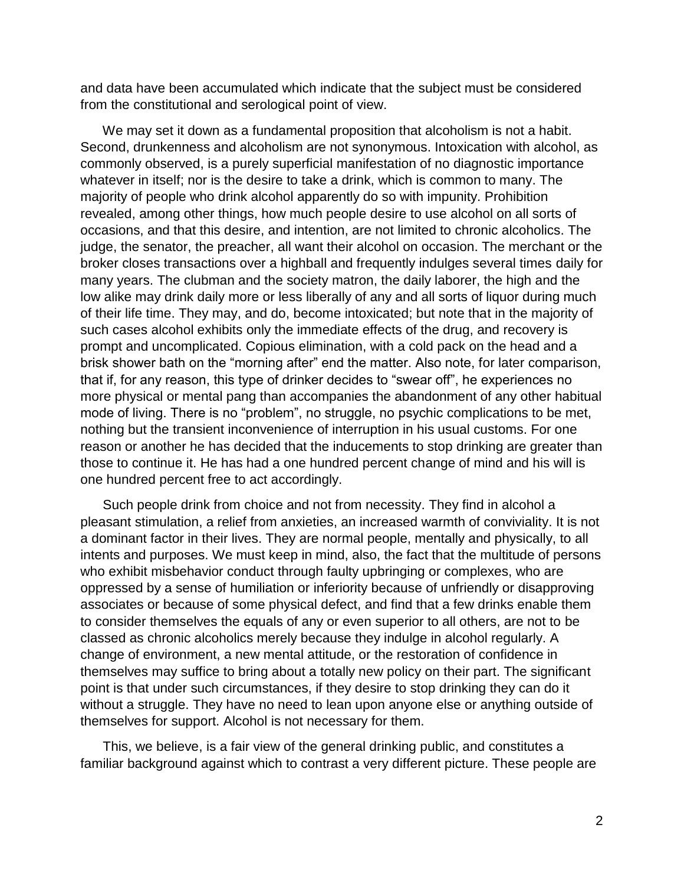and data have been accumulated which indicate that the subject must be considered from the constitutional and serological point of view.

 We may set it down as a fundamental proposition that alcoholism is not a habit. Second, drunkenness and alcoholism are not synonymous. Intoxication with alcohol, as commonly observed, is a purely superficial manifestation of no diagnostic importance whatever in itself; nor is the desire to take a drink, which is common to many. The majority of people who drink alcohol apparently do so with impunity. Prohibition revealed, among other things, how much people desire to use alcohol on all sorts of occasions, and that this desire, and intention, are not limited to chronic alcoholics. The judge, the senator, the preacher, all want their alcohol on occasion. The merchant or the broker closes transactions over a highball and frequently indulges several times daily for many years. The clubman and the society matron, the daily laborer, the high and the low alike may drink daily more or less liberally of any and all sorts of liquor during much of their life time. They may, and do, become intoxicated; but note that in the majority of such cases alcohol exhibits only the immediate effects of the drug, and recovery is prompt and uncomplicated. Copious elimination, with a cold pack on the head and a brisk shower bath on the "morning after" end the matter. Also note, for later comparison, that if, for any reason, this type of drinker decides to "swear off", he experiences no more physical or mental pang than accompanies the abandonment of any other habitual mode of living. There is no "problem", no struggle, no psychic complications to be met, nothing but the transient inconvenience of interruption in his usual customs. For one reason or another he has decided that the inducements to stop drinking are greater than those to continue it. He has had a one hundred percent change of mind and his will is one hundred percent free to act accordingly.

 Such people drink from choice and not from necessity. They find in alcohol a pleasant stimulation, a relief from anxieties, an increased warmth of conviviality. It is not a dominant factor in their lives. They are normal people, mentally and physically, to all intents and purposes. We must keep in mind, also, the fact that the multitude of persons who exhibit misbehavior conduct through faulty upbringing or complexes, who are oppressed by a sense of humiliation or inferiority because of unfriendly or disapproving associates or because of some physical defect, and find that a few drinks enable them to consider themselves the equals of any or even superior to all others, are not to be classed as chronic alcoholics merely because they indulge in alcohol regularly. A change of environment, a new mental attitude, or the restoration of confidence in themselves may suffice to bring about a totally new policy on their part. The significant point is that under such circumstances, if they desire to stop drinking they can do it without a struggle. They have no need to lean upon anyone else or anything outside of themselves for support. Alcohol is not necessary for them.

 This, we believe, is a fair view of the general drinking public, and constitutes a familiar background against which to contrast a very different picture. These people are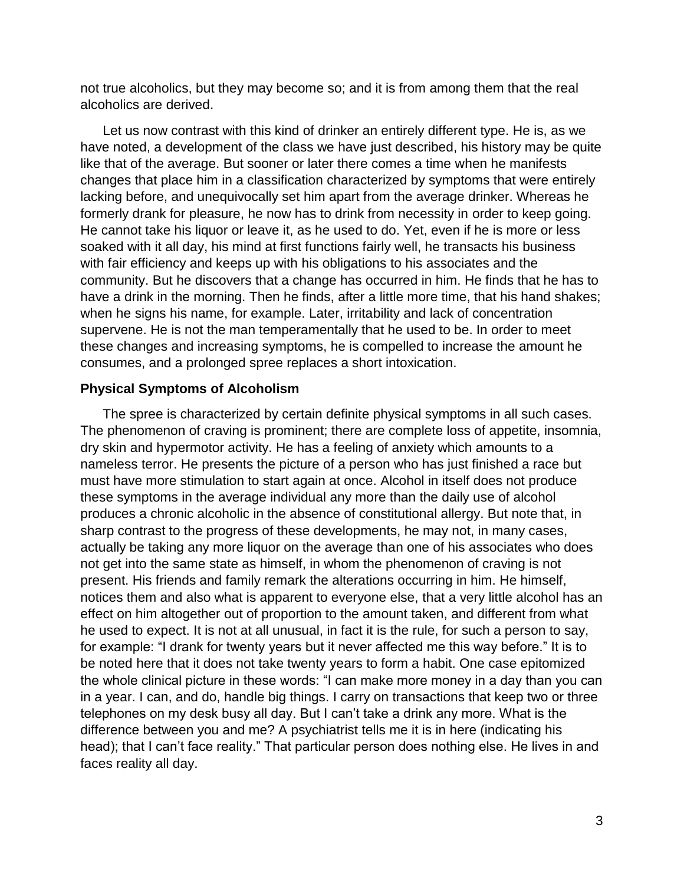not true alcoholics, but they may become so; and it is from among them that the real alcoholics are derived.

 Let us now contrast with this kind of drinker an entirely different type. He is, as we have noted, a development of the class we have just described, his history may be quite like that of the average. But sooner or later there comes a time when he manifests changes that place him in a classification characterized by symptoms that were entirely lacking before, and unequivocally set him apart from the average drinker. Whereas he formerly drank for pleasure, he now has to drink from necessity in order to keep going. He cannot take his liquor or leave it, as he used to do. Yet, even if he is more or less soaked with it all day, his mind at first functions fairly well, he transacts his business with fair efficiency and keeps up with his obligations to his associates and the community. But he discovers that a change has occurred in him. He finds that he has to have a drink in the morning. Then he finds, after a little more time, that his hand shakes; when he signs his name, for example. Later, irritability and lack of concentration supervene. He is not the man temperamentally that he used to be. In order to meet these changes and increasing symptoms, he is compelled to increase the amount he consumes, and a prolonged spree replaces a short intoxication.

## **Physical Symptoms of Alcoholism**

 The spree is characterized by certain definite physical symptoms in all such cases. The phenomenon of craving is prominent; there are complete loss of appetite, insomnia, dry skin and hypermotor activity. He has a feeling of anxiety which amounts to a nameless terror. He presents the picture of a person who has just finished a race but must have more stimulation to start again at once. Alcohol in itself does not produce these symptoms in the average individual any more than the daily use of alcohol produces a chronic alcoholic in the absence of constitutional allergy. But note that, in sharp contrast to the progress of these developments, he may not, in many cases, actually be taking any more liquor on the average than one of his associates who does not get into the same state as himself, in whom the phenomenon of craving is not present. His friends and family remark the alterations occurring in him. He himself, notices them and also what is apparent to everyone else, that a very little alcohol has an effect on him altogether out of proportion to the amount taken, and different from what he used to expect. It is not at all unusual, in fact it is the rule, for such a person to say, for example: "I drank for twenty years but it never affected me this way before." It is to be noted here that it does not take twenty years to form a habit. One case epitomized the whole clinical picture in these words: "I can make more money in a day than you can in a year. I can, and do, handle big things. I carry on transactions that keep two or three telephones on my desk busy all day. But I can't take a drink any more. What is the difference between you and me? A psychiatrist tells me it is in here (indicating his head); that I can't face reality." That particular person does nothing else. He lives in and faces reality all day.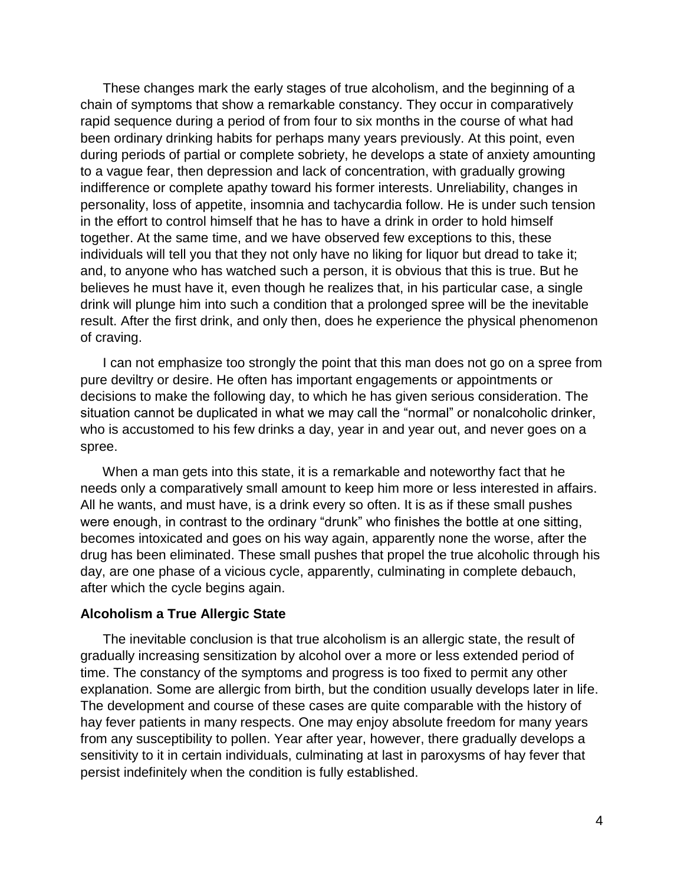These changes mark the early stages of true alcoholism, and the beginning of a chain of symptoms that show a remarkable constancy. They occur in comparatively rapid sequence during a period of from four to six months in the course of what had been ordinary drinking habits for perhaps many years previously. At this point, even during periods of partial or complete sobriety, he develops a state of anxiety amounting to a vague fear, then depression and lack of concentration, with gradually growing indifference or complete apathy toward his former interests. Unreliability, changes in personality, loss of appetite, insomnia and tachycardia follow. He is under such tension in the effort to control himself that he has to have a drink in order to hold himself together. At the same time, and we have observed few exceptions to this, these individuals will tell you that they not only have no liking for liquor but dread to take it; and, to anyone who has watched such a person, it is obvious that this is true. But he believes he must have it, even though he realizes that, in his particular case, a single drink will plunge him into such a condition that a prolonged spree will be the inevitable result. After the first drink, and only then, does he experience the physical phenomenon of craving.

 I can not emphasize too strongly the point that this man does not go on a spree from pure deviltry or desire. He often has important engagements or appointments or decisions to make the following day, to which he has given serious consideration. The situation cannot be duplicated in what we may call the "normal" or nonalcoholic drinker, who is accustomed to his few drinks a day, year in and year out, and never goes on a spree.

 When a man gets into this state, it is a remarkable and noteworthy fact that he needs only a comparatively small amount to keep him more or less interested in affairs. All he wants, and must have, is a drink every so often. It is as if these small pushes were enough, in contrast to the ordinary "drunk" who finishes the bottle at one sitting, becomes intoxicated and goes on his way again, apparently none the worse, after the drug has been eliminated. These small pushes that propel the true alcoholic through his day, are one phase of a vicious cycle, apparently, culminating in complete debauch, after which the cycle begins again.

## **Alcoholism a True Allergic State**

 The inevitable conclusion is that true alcoholism is an allergic state, the result of gradually increasing sensitization by alcohol over a more or less extended period of time. The constancy of the symptoms and progress is too fixed to permit any other explanation. Some are allergic from birth, but the condition usually develops later in life. The development and course of these cases are quite comparable with the history of hay fever patients in many respects. One may enjoy absolute freedom for many years from any susceptibility to pollen. Year after year, however, there gradually develops a sensitivity to it in certain individuals, culminating at last in paroxysms of hay fever that persist indefinitely when the condition is fully established.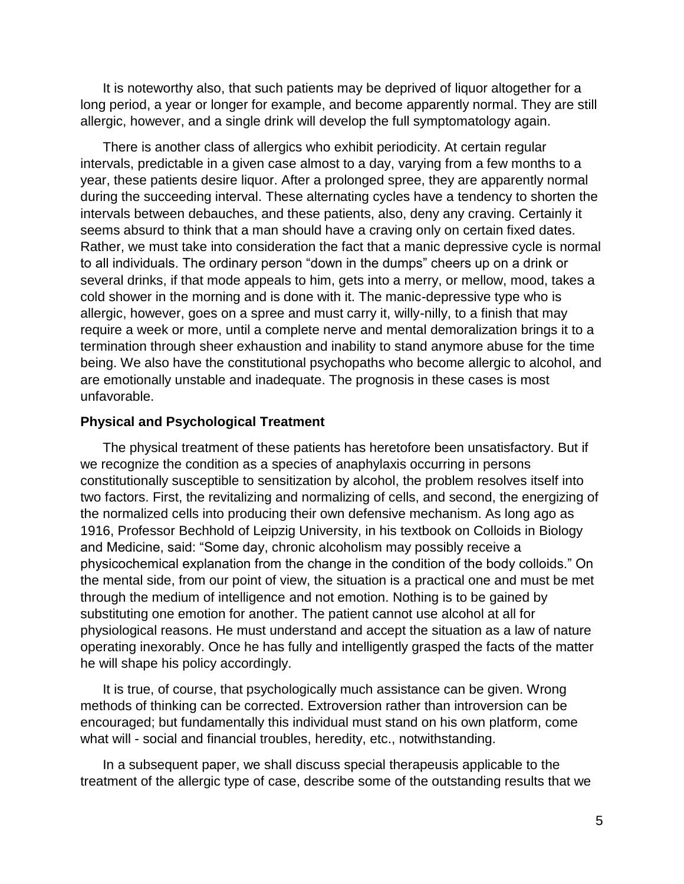It is noteworthy also, that such patients may be deprived of liquor altogether for a long period, a year or longer for example, and become apparently normal. They are still allergic, however, and a single drink will develop the full symptomatology again.

 There is another class of allergics who exhibit periodicity. At certain regular intervals, predictable in a given case almost to a day, varying from a few months to a year, these patients desire liquor. After a prolonged spree, they are apparently normal during the succeeding interval. These alternating cycles have a tendency to shorten the intervals between debauches, and these patients, also, deny any craving. Certainly it seems absurd to think that a man should have a craving only on certain fixed dates. Rather, we must take into consideration the fact that a manic depressive cycle is normal to all individuals. The ordinary person "down in the dumps" cheers up on a drink or several drinks, if that mode appeals to him, gets into a merry, or mellow, mood, takes a cold shower in the morning and is done with it. The manic-depressive type who is allergic, however, goes on a spree and must carry it, willy-nilly, to a finish that may require a week or more, until a complete nerve and mental demoralization brings it to a termination through sheer exhaustion and inability to stand anymore abuse for the time being. We also have the constitutional psychopaths who become allergic to alcohol, and are emotionally unstable and inadequate. The prognosis in these cases is most unfavorable.

## **Physical and Psychological Treatment**

 The physical treatment of these patients has heretofore been unsatisfactory. But if we recognize the condition as a species of anaphylaxis occurring in persons constitutionally susceptible to sensitization by alcohol, the problem resolves itself into two factors. First, the revitalizing and normalizing of cells, and second, the energizing of the normalized cells into producing their own defensive mechanism. As long ago as 1916, Professor Bechhold of Leipzig University, in his textbook on Colloids in Biology and Medicine, said: "Some day, chronic alcoholism may possibly receive a physicochemical explanation from the change in the condition of the body colloids." On the mental side, from our point of view, the situation is a practical one and must be met through the medium of intelligence and not emotion. Nothing is to be gained by substituting one emotion for another. The patient cannot use alcohol at all for physiological reasons. He must understand and accept the situation as a law of nature operating inexorably. Once he has fully and intelligently grasped the facts of the matter he will shape his policy accordingly.

 It is true, of course, that psychologically much assistance can be given. Wrong methods of thinking can be corrected. Extroversion rather than introversion can be encouraged; but fundamentally this individual must stand on his own platform, come what will - social and financial troubles, heredity, etc., notwithstanding.

 In a subsequent paper, we shall discuss special therapeusis applicable to the treatment of the allergic type of case, describe some of the outstanding results that we